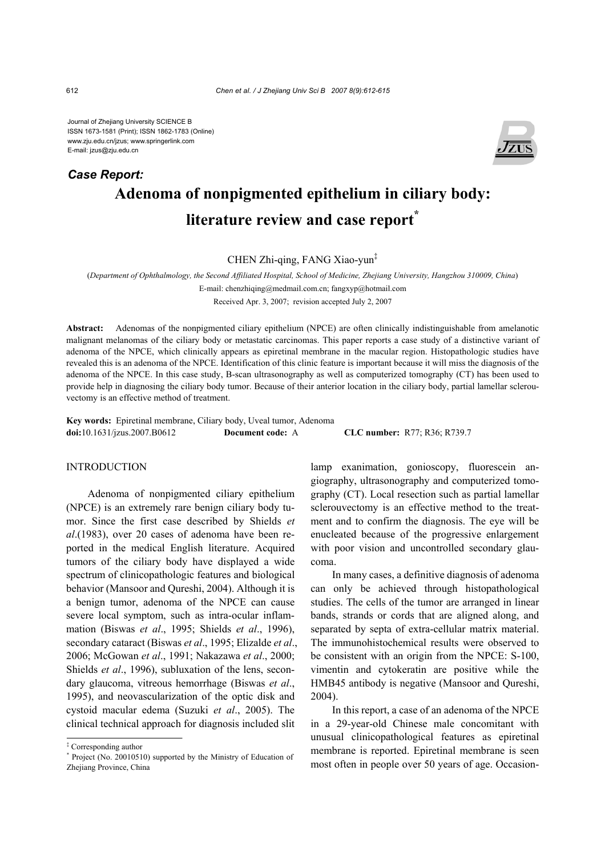Journal of Zhejiang University SCIENCE B ISSN 1673-1581 (Print); ISSN 1862-1783 (Online) www.zju.edu.cn/jzus; www.springerlink.com E-mail: jzus@zju.edu.cn

# **Adenoma of nonpigmented epithelium in ciliary body: literature review and case report\*** *Case Report:*

CHEN Zhi-qing, FANG Xiao-yun‡

(*Department of Ophthalmology, the Second Affiliated Hospital, School of Medicine, Zhejiang University, Hangzhou 310009, China*)

E-mail: chenzhiqing@medmail.com.cn; fangxyp@hotmail.com

Received Apr. 3, 2007; revision accepted July 2, 2007

**Abstract:** Adenomas of the nonpigmented ciliary epithelium (NPCE) are often clinically indistinguishable from amelanotic malignant melanomas of the ciliary body or metastatic carcinomas. This paper reports a case study of a distinctive variant of adenoma of the NPCE, which clinically appears as epiretinal membrane in the macular region. Histopathologic studies have revealed this is an adenoma of the NPCE. Identification of this clinic feature is important because it will miss the diagnosis of the adenoma of the NPCE. In this case study, B-scan ultrasonography as well as computerized tomography (CT) has been used to provide help in diagnosing the ciliary body tumor. Because of their anterior location in the ciliary body, partial lamellar sclerouvectomy is an effective method of treatment.

**Key words:** Epiretinal membrane, Ciliary body, Uveal tumor, Adenoma **doi:**10.1631/jzus.2007.B0612 **Document code:** A **CLC number:** R77; R36; R739.7

# **INTRODUCTION**

Adenoma of nonpigmented ciliary epithelium (NPCE) is an extremely rare benign ciliary body tumor. Since the first case described by Shields *et al*.(1983), over 20 cases of adenoma have been reported in the medical English literature. Acquired tumors of the ciliary body have displayed a wide spectrum of clinicopathologic features and biological behavior (Mansoor and Qureshi, 2004). Although it is a benign tumor, adenoma of the NPCE can cause severe local symptom, such as intra-ocular inflammation (Biswas *et al*., 1995; Shields *et al*., 1996), secondary cataract (Biswas *et al*., 1995; Elizalde *et al*., 2006; McGowan *et al*., 1991; Nakazawa *et al*., 2000; Shields *et al*., 1996), subluxation of the lens, secondary glaucoma, vitreous hemorrhage (Biswas *et al*., 1995), and neovascularization of the optic disk and cystoid macular edema (Suzuki *et al*., 2005). The clinical technical approach for diagnosis included slit

lamp exanimation, gonioscopy, fluorescein angiography, ultrasonography and computerized tomography (CT). Local resection such as partial lamellar sclerouvectomy is an effective method to the treatment and to confirm the diagnosis. The eye will be enucleated because of the progressive enlargement with poor vision and uncontrolled secondary glaucoma.

In many cases, a definitive diagnosis of adenoma can only be achieved through histopathological studies. The cells of the tumor are arranged in linear bands, strands or cords that are aligned along, and separated by septa of extra-cellular matrix material. The immunohistochemical results were observed to be consistent with an origin from the NPCE: S-100, vimentin and cytokeratin are positive while the HMB45 antibody is negative (Mansoor and Qureshi, 2004).

In this report, a case of an adenoma of the NPCE in a 29-year-old Chinese male concomitant with unusual clinicopathological features as epiretinal membrane is reported. Epiretinal membrane is seen most often in people over 50 years of age. Occasion-



<sup>‡</sup> Corresponding author

<sup>\*</sup> Project (No. 20010510) supported by the Ministry of Education of Zhejiang Province, China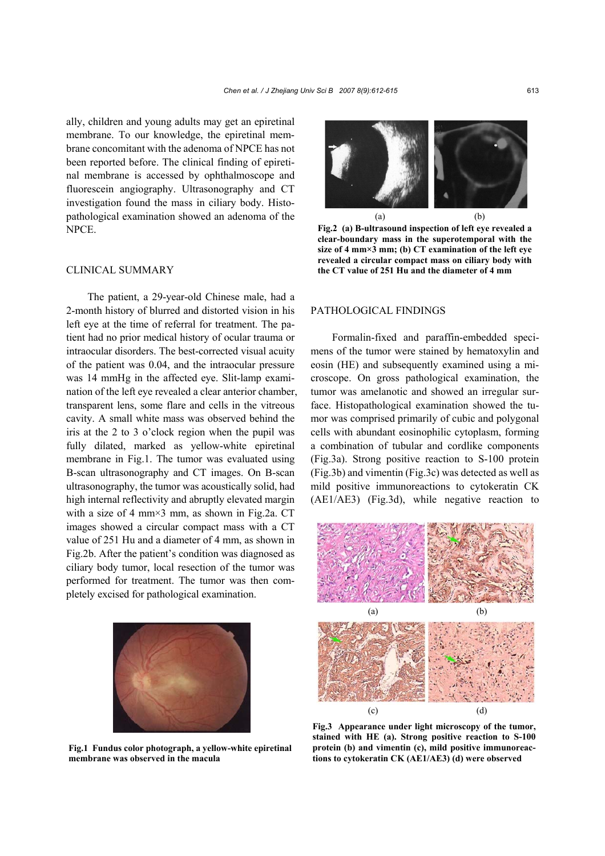ally, children and young adults may get an epiretinal membrane. To our knowledge, the epiretinal membrane concomitant with the adenoma of NPCE has not been reported before. The clinical finding of epiretinal membrane is accessed by ophthalmoscope and fluorescein angiography. Ultrasonography and CT investigation found the mass in ciliary body. Histopathological examination showed an adenoma of the NPCE.

# CLINICAL SUMMARY

The patient, a 29-year-old Chinese male, had a 2-month history of blurred and distorted vision in his left eye at the time of referral for treatment. The patient had no prior medical history of ocular trauma or intraocular disorders. The best-corrected visual acuity of the patient was 0.04, and the intraocular pressure was 14 mmHg in the affected eye. Slit-lamp examination of the left eye revealed a clear anterior chamber, transparent lens, some flare and cells in the vitreous cavity. A small white mass was observed behind the iris at the 2 to 3 o'clock region when the pupil was fully dilated, marked as yellow-white epiretinal membrane in Fig.1. The tumor was evaluated using B-scan ultrasonography and CT images. On B-scan ultrasonography, the tumor was acoustically solid, had high internal reflectivity and abruptly elevated margin with a size of 4 mm $\times$ 3 mm, as shown in Fig.2a. CT images showed a circular compact mass with a CT value of 251 Hu and a diameter of 4 mm, as shown in Fig.2b. After the patient's condition was diagnosed as ciliary body tumor, local resection of the tumor was performed for treatment. The tumor was then completely excised for pathological examination.



**Fig.1 Fundus color photograph, a yellow-white epiretinal membrane was observed in the macula** 



**Fig.2 (a) B-ultrasound inspection of left eye revealed a clear-boundary mass in the superotemporal with the size of 4 mm×3 mm; (b) CT examination of the left eye revealed a circular compact mass on ciliary body with the CT value of 251 Hu and the diameter of 4 mm**

#### PATHOLOGICAL FINDINGS

Formalin-fixed and paraffin-embedded specimens of the tumor were stained by hematoxylin and eosin (HE) and subsequently examined using a microscope. On gross pathological examination, the tumor was amelanotic and showed an irregular surface. Histopathological examination showed the tumor was comprised primarily of cubic and polygonal cells with abundant eosinophilic cytoplasm, forming a combination of tubular and cordlike components (Fig.3a). Strong positive reaction to S-100 protein (Fig.3b) and vimentin (Fig.3c) was detected as well as mild positive immunoreactions to cytokeratin CK (AE1/AE3) (Fig.3d), while negative reaction to



**Fig.3 Appearance under light microscopy of the tumor, stained with HE (a). Strong positive reaction to S-100 protein (b) and vimentin (c), mild positive immunoreactions to cytokeratin CK (AE1/AE3) (d) were observed**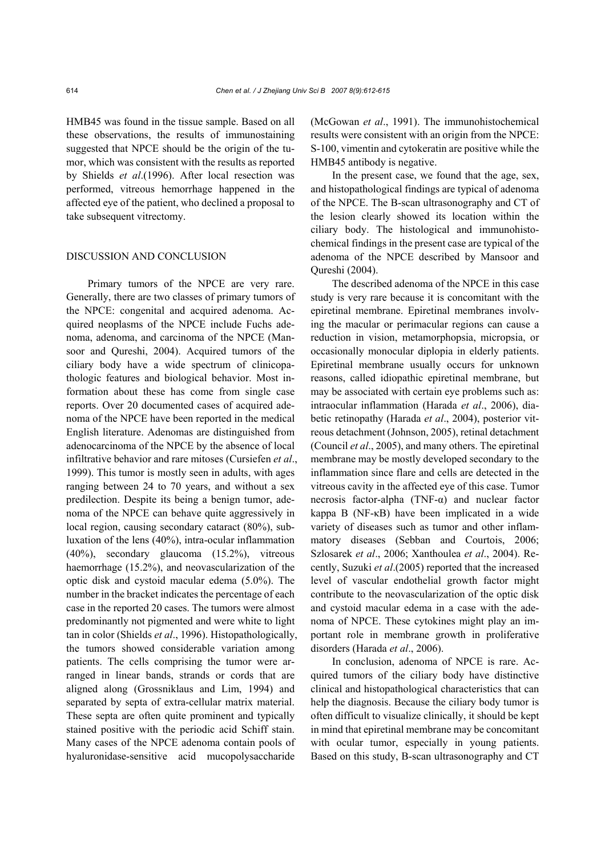HMB45 was found in the tissue sample. Based on all these observations, the results of immunostaining suggested that NPCE should be the origin of the tumor, which was consistent with the results as reported by Shields *et al*.(1996). After local resection was performed, vitreous hemorrhage happened in the affected eye of the patient, who declined a proposal to take subsequent vitrectomy.

## DISCUSSION AND CONCLUSION

Primary tumors of the NPCE are very rare. Generally, there are two classes of primary tumors of the NPCE: congenital and acquired adenoma. Acquired neoplasms of the NPCE include Fuchs adenoma, adenoma, and carcinoma of the NPCE (Mansoor and Qureshi, 2004). Acquired tumors of the ciliary body have a wide spectrum of clinicopathologic features and biological behavior. Most information about these has come from single case reports. Over 20 documented cases of acquired adenoma of the NPCE have been reported in the medical English literature. Adenomas are distinguished from adenocarcinoma of the NPCE by the absence of local infiltrative behavior and rare mitoses (Cursiefen *et al*., 1999). This tumor is mostly seen in adults, with ages ranging between 24 to 70 years, and without a sex predilection. Despite its being a benign tumor, adenoma of the NPCE can behave quite aggressively in local region, causing secondary cataract (80%), subluxation of the lens (40%), intra-ocular inflammation (40%), secondary glaucoma (15.2%), vitreous haemorrhage (15.2%), and neovascularization of the optic disk and cystoid macular edema (5.0%). The number in the bracket indicates the percentage of each case in the reported 20 cases. The tumors were almost predominantly not pigmented and were white to light tan in color (Shields *et al*., 1996). Histopathologically, the tumors showed considerable variation among patients. The cells comprising the tumor were arranged in linear bands, strands or cords that are aligned along (Grossniklaus and Lim, 1994) and separated by septa of extra-cellular matrix material. These septa are often quite prominent and typically stained positive with the periodic acid Schiff stain. Many cases of the NPCE adenoma contain pools of hyaluronidase-sensitive acid mucopolysaccharide

(McGowan *et al*., 1991). The immunohistochemical results were consistent with an origin from the NPCE: S-100, vimentin and cytokeratin are positive while the HMB45 antibody is negative.

In the present case, we found that the age, sex, and histopathological findings are typical of adenoma of the NPCE. The B-scan ultrasonography and CT of the lesion clearly showed its location within the ciliary body. The histological and immunohistochemical findings in the present case are typical of the adenoma of the NPCE described by Mansoor and Qureshi (2004).

The described adenoma of the NPCE in this case study is very rare because it is concomitant with the epiretinal membrane. Epiretinal membranes involving the macular or perimacular regions can cause a reduction in vision, metamorphopsia, micropsia, or occasionally monocular diplopia in elderly patients. Epiretinal membrane usually occurs for unknown reasons, called idiopathic epiretinal membrane, but may be associated with certain eye problems such as: intraocular inflammation (Harada *et al*., 2006), diabetic retinopathy (Harada *et al*., 2004), posterior vitreous detachment (Johnson, 2005), retinal detachment (Council *et al*., 2005), and many others. The epiretinal membrane may be mostly developed secondary to the inflammation since flare and cells are detected in the vitreous cavity in the affected eye of this case. Tumor necrosis factor-alpha (TNF-α) and nuclear factor kappa B (NF-κB) have been implicated in a wide variety of diseases such as tumor and other inflammatory diseases (Sebban and Courtois, 2006; Szlosarek *et al*., 2006; Xanthoulea *et al*., 2004). Recently, Suzuki *et al*.(2005) reported that the increased level of vascular endothelial growth factor might contribute to the neovascularization of the optic disk and cystoid macular edema in a case with the adenoma of NPCE. These cytokines might play an important role in membrane growth in proliferative disorders (Harada *et al*., 2006).

In conclusion, adenoma of NPCE is rare. Acquired tumors of the ciliary body have distinctive clinical and histopathological characteristics that can help the diagnosis. Because the ciliary body tumor is often difficult to visualize clinically, it should be kept in mind that epiretinal membrane may be concomitant with ocular tumor, especially in young patients. Based on this study, B-scan ultrasonography and CT